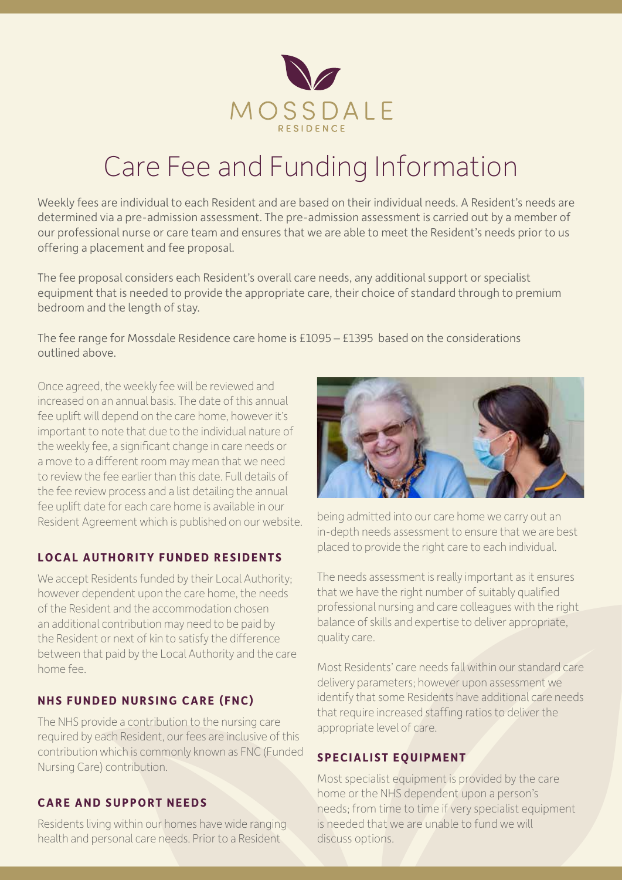

# Care Fee and Funding Information

Weekly fees are individual to each Resident and are based on their individual needs. A Resident's needs are determined via a pre-admission assessment. The pre-admission assessment is carried out by a member of our professional nurse or care team and ensures that we are able to meet the Resident's needs prior to us offering a placement and fee proposal.

The fee proposal considers each Resident's overall care needs, any additional support or specialist equipment that is needed to provide the appropriate care, their choice of standard through to premium bedroom and the length of stay.

The fee range for Mossdale Residence care home is £1095 – £1395 based on the considerations outlined above.

Once agreed, the weekly fee will be reviewed and increased on an annual basis. The date of this annual fee uplift will depend on the care home, however it's important to note that due to the individual nature of the weekly fee, a significant change in care needs or a move to a different room may mean that we need to review the fee earlier than this date. Full details of the fee review process and a list detailing the annual fee uplift date for each care home is available in our Resident Agreement which is published on our website.

## **LOCAL AUTHORITY FUNDED RESIDENTS**

We accept Residents funded by their Local Authority; however dependent upon the care home, the needs of the Resident and the accommodation chosen an additional contribution may need to be paid by the Resident or next of kin to satisfy the difference between that paid by the Local Authority and the care home fee.

# **NHS FUNDED NURSING CARE (FNC)**

The NHS provide a contribution to the nursing care required by each Resident, our fees are inclusive of this contribution which is commonly known as FNC (Funded Nursing Care) contribution.

## **CARE AND SUPPORT NEEDS**

Residents living within our homes have wide ranging health and personal care needs. Prior to a Resident



being admitted into our care home we carry out an in-depth needs assessment to ensure that we are best placed to provide the right care to each individual.

The needs assessment is really important as it ensures that we have the right number of suitably qualified professional nursing and care colleagues with the right balance of skills and expertise to deliver appropriate, quality care.

Most Residents' care needs fall within our standard care delivery parameters; however upon assessment we identify that some Residents have additional care needs that require increased staffing ratios to deliver the appropriate level of care.

# **SPECIALIST EQUIPMENT**

Most specialist equipment is provided by the care home or the NHS dependent upon a person's needs; from time to time if very specialist equipment is needed that we are unable to fund we will discuss options.